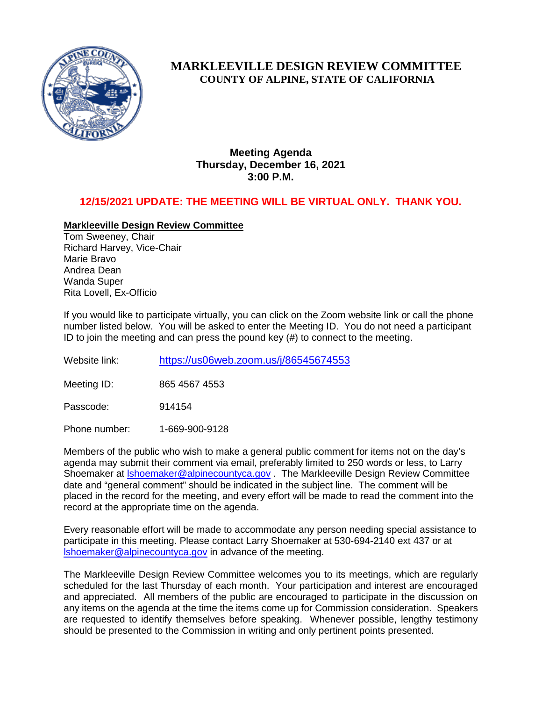

# **MARKLEEVILLE DESIGN REVIEW COMMITTEE COUNTY OF ALPINE, STATE OF CALIFORNIA**

**Meeting Agenda Thursday, December 16, 2021 3:00 P.M.**

## **12/15/2021 UPDATE: THE MEETING WILL BE VIRTUAL ONLY. THANK YOU.**

## **Markleeville Design Review Committee**

Tom Sweeney, Chair Richard Harvey, Vice-Chair Marie Bravo Andrea Dean Wanda Super Rita Lovell, Ex-Officio

If you would like to participate virtually, you can click on the Zoom website link or call the phone number listed below. You will be asked to enter the Meeting ID. You do not need a participant ID to join the meeting and can press the pound key (#) to connect to the meeting.

Website link: <https://us06web.zoom.us/j/86545674553>

Meeting ID: 865 4567 4553

Passcode: 914154

Phone number: 1-669-900-9128

Members of the public who wish to make a general public comment for items not on the day's agenda may submit their comment via email, preferably limited to 250 words or less, to Larry Shoemaker at [lshoemaker@alpinecountyca.gov](mailto:lshoemaker@alpinecountyca.gov) . The Markleeville Design Review Committee date and "general comment" should be indicated in the subject line. The comment will be placed in the record for the meeting, and every effort will be made to read the comment into the record at the appropriate time on the agenda.

Every reasonable effort will be made to accommodate any person needing special assistance to participate in this meeting. Please contact Larry Shoemaker at 530-694-2140 ext 437 or at [lshoemaker@alpinecountyca.gov](mailto:lshoemaker@alpinecountyca.gov) in advance of the meeting.

The Markleeville Design Review Committee welcomes you to its meetings, which are regularly scheduled for the last Thursday of each month. Your participation and interest are encouraged and appreciated. All members of the public are encouraged to participate in the discussion on any items on the agenda at the time the items come up for Commission consideration. Speakers are requested to identify themselves before speaking. Whenever possible, lengthy testimony should be presented to the Commission in writing and only pertinent points presented.